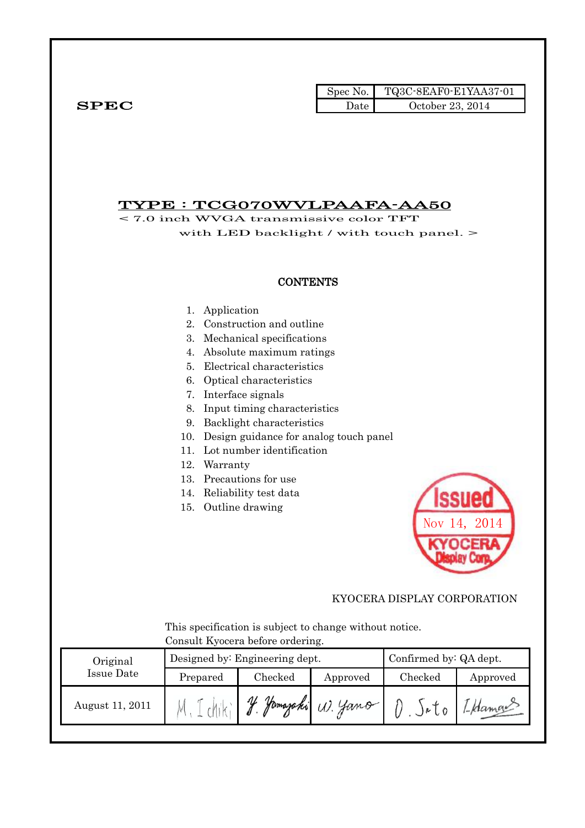|                   |                                                                                                                  |                                                                                                                                                                                                                                                                                                                                                                            | Spec No.             | TQ3C-8EAF0-E1YAA37-01           |                        |
|-------------------|------------------------------------------------------------------------------------------------------------------|----------------------------------------------------------------------------------------------------------------------------------------------------------------------------------------------------------------------------------------------------------------------------------------------------------------------------------------------------------------------------|----------------------|---------------------------------|------------------------|
| ${\bf SPEC}$      |                                                                                                                  |                                                                                                                                                                                                                                                                                                                                                                            | Date                 | October 23, 2014                |                        |
|                   | TYPE : TCG070WVLPAAFA-AA50<br>$<$ 7.0 inch WVGA transmissive color TFT                                           | with LED backlight / with touch panel. >                                                                                                                                                                                                                                                                                                                                   |                      |                                 |                        |
|                   |                                                                                                                  | <b>CONTENTS</b>                                                                                                                                                                                                                                                                                                                                                            |                      |                                 |                        |
|                   | Application<br>1.<br>2.<br>3.<br>4.<br>5.<br>6.<br>7.<br>8.<br>9.<br>10.<br>11.<br>12.<br>Warranty<br>13.<br>15. | Construction and outline<br>Mechanical specifications<br>Absolute maximum ratings<br>Electrical characteristics<br>Optical characteristics<br>Interface signals<br>Input timing characteristics<br>Backlight characteristics<br>Design guidance for analog touch panel<br>Lot number identification<br>Precautions for use<br>14. Reliability test data<br>Outline drawing |                      |                                 | 155UEU<br>Nov 14, 2014 |
|                   |                                                                                                                  |                                                                                                                                                                                                                                                                                                                                                                            |                      | KYOCERA DISPLAY CORPORATION     |                        |
|                   |                                                                                                                  | This specification is subject to change without notice.<br>Consult Kyocera before ordering.                                                                                                                                                                                                                                                                                |                      |                                 |                        |
| Original          |                                                                                                                  | Designed by: Engineering dept.                                                                                                                                                                                                                                                                                                                                             |                      | Confirmed by: QA dept.          |                        |
| <b>Issue Date</b> | Prepared                                                                                                         | Checked                                                                                                                                                                                                                                                                                                                                                                    | Approved             | Checked                         | Approved               |
| August 11, 2011   |                                                                                                                  |                                                                                                                                                                                                                                                                                                                                                                            | y Jamazaki (1). Jano | $l)$ $\delta$ $\delta$ $\delta$ | 1-Hamor                |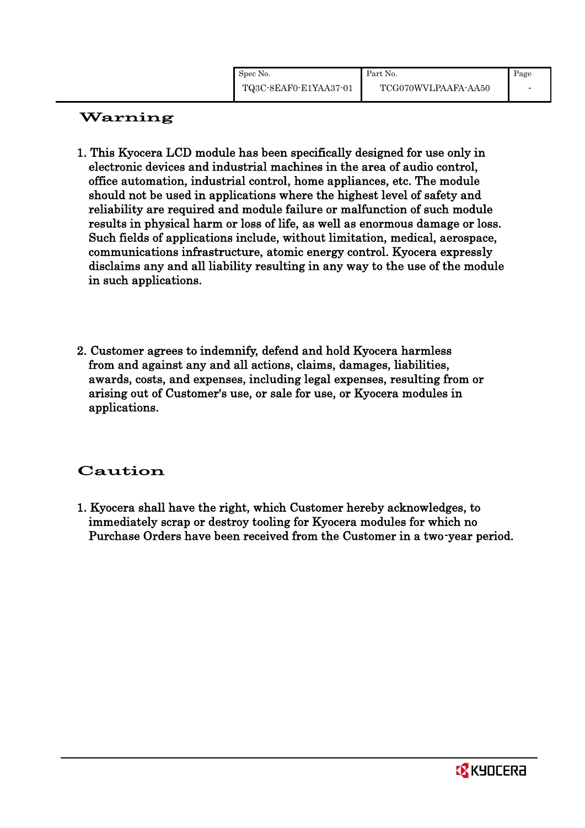# Warning

- 1. This Kyocera LCD module has been specifically designed for use only in electronic devices and industrial machines in the area of audio control, office automation, industrial control, home appliances, etc. The module should not be used in applications where the highest level of safety and reliability are required and module failure or malfunction of such module results in physical harm or loss of life, as well as enormous damage or loss. Such fields of applications include, without limitation, medical, aerospace, communications infrastructure, atomic energy control. Kyocera expressly disclaims any and all liability resulting in any way to the use of the module in such applications.
- 2. Customer agrees to indemnify, defend and hold Kyocera harmless from and against any and all actions, claims, damages, liabilities, awards, costs, and expenses, including legal expenses, resulting from or arising out of Customer's use, or sale for use, or Kyocera modules in applications.

## Caution

1. Kyocera shall have the right, which Customer hereby acknowledges, to immediately scrap or destroy tooling for Kyocera modules for which no Purchase Orders have been received from the Customer in a two-year period.

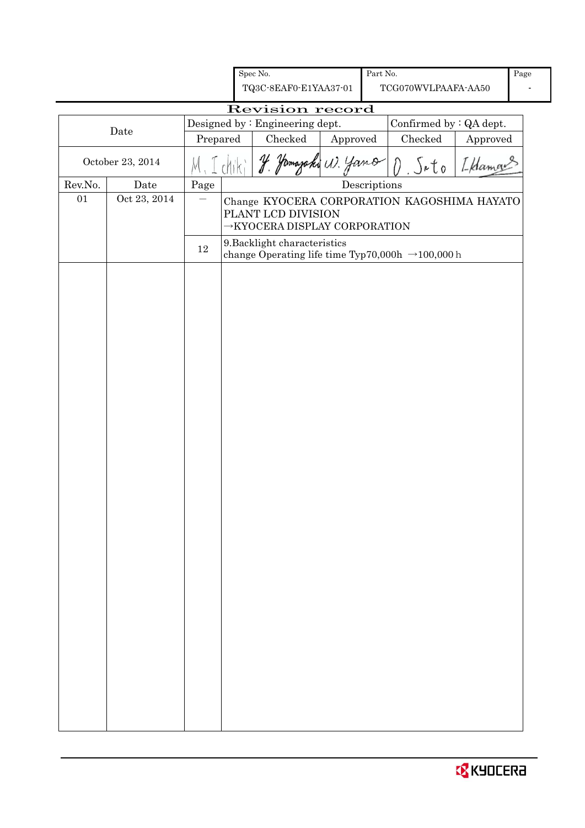|         |                  |          | Spec No.                                                                                        |          | Part No.                             |                                                              |          | Page |
|---------|------------------|----------|-------------------------------------------------------------------------------------------------|----------|--------------------------------------|--------------------------------------------------------------|----------|------|
|         |                  |          | TQ3C-8EAF0-E1YAA37-01                                                                           |          |                                      | TCG070WVLPAAFA-AA50                                          |          |      |
|         |                  |          | Revision record                                                                                 |          |                                      |                                                              |          |      |
|         |                  |          | Designed by: Engineering dept.                                                                  |          |                                      | Confirmed by : QA dept.                                      |          |      |
|         | Date             | Prepared | Checked                                                                                         | Approved |                                      | Checked                                                      | Approved |      |
|         | October 23, 2014 |          | amazaki                                                                                         | W. Jano  |                                      | Jato<br>$\left(\right)$                                      | I Hamal  |      |
| Rev.No. | Date             | Page     |                                                                                                 |          | $\label{ex:2} \textbf{Descriptions}$ |                                                              |          |      |
| 01      | Oct 23, 2014     |          | PLANT LCD DIVISION<br>$\rightarrow$ KYOCERA DISPLAY CORPORATION<br>9. Backlight characteristics |          |                                      | Change KYOCERA CORPORATION KAGOSHIMA HAYATO                  |          |      |
|         |                  | $12\,$   |                                                                                                 |          |                                      | change Operating life time Typ70,000h $\rightarrow$ 100,000h |          |      |
|         |                  |          |                                                                                                 |          |                                      |                                                              |          |      |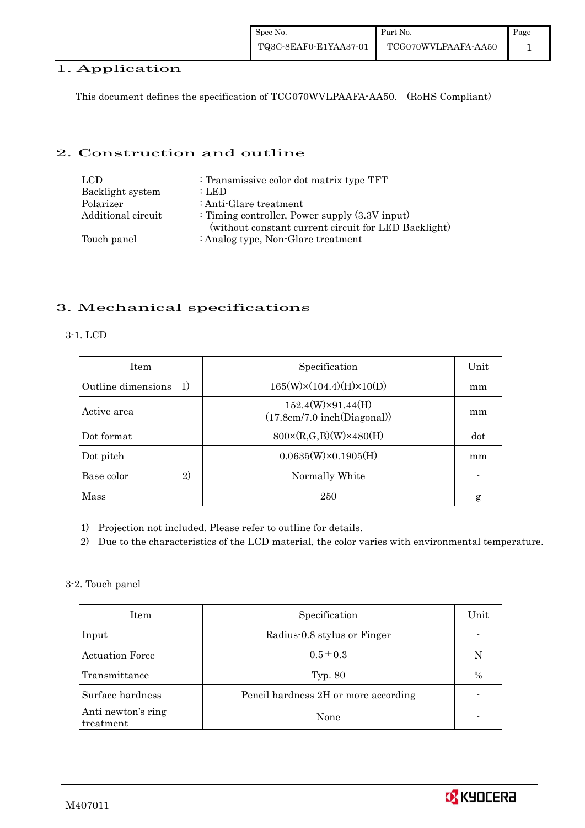#### 1. Application

This document defines the specification of TCG070WVLPAAFA-AA50. (RoHS Compliant)

#### 2. Construction and outline

| LCD.               | : Transmissive color dot matrix type TFT                                                                  |
|--------------------|-----------------------------------------------------------------------------------------------------------|
| Backlight system   | : LED                                                                                                     |
| Polarizer          | : Anti-Glare treatment                                                                                    |
| Additional circuit | : Timing controller, Power supply $(3.3V)$ input)<br>(without constant current circuit for LED Backlight) |
| Touch panel        | : Analog type, Non-Glare treatment                                                                        |

### 3. Mechanical specifications

#### 3-1. LCD

| <b>Item</b>                        | Specification                                           | Unit |
|------------------------------------|---------------------------------------------------------|------|
| Outline dimensions<br><sup>1</sup> | $165(W)\times(104.4)(H)\times10(D)$                     | mm   |
| Active area                        | $152.4(W)\times91.44(H)$<br>(17.8cm/7.0 inch(Diagonal)) | mm   |
| Dot format                         | $800 \times (R, G, B)(W) \times 480(H)$                 | dot  |
| Dot pitch                          | $0.0635(W)\times0.1905(H)$                              | mm   |
| 2)<br>Base color                   | Normally White                                          |      |
| Mass                               | 250                                                     | g    |

1) Projection not included. Please refer to outline for details.

2) Due to the characteristics of the LCD material, the color varies with environmental temperature.

#### 3-2. Touch panel

| Item                            | Specification                        | Unit |
|---------------------------------|--------------------------------------|------|
| Input                           | Radius-0.8 stylus or Finger          |      |
| <b>Actuation Force</b>          | $0.5 \pm 0.3$                        |      |
| Transmittance                   | Typ. 80                              | $\%$ |
| Surface hardness                | Pencil hardness 2H or more according |      |
| Anti newton's ring<br>treatment | None                                 |      |

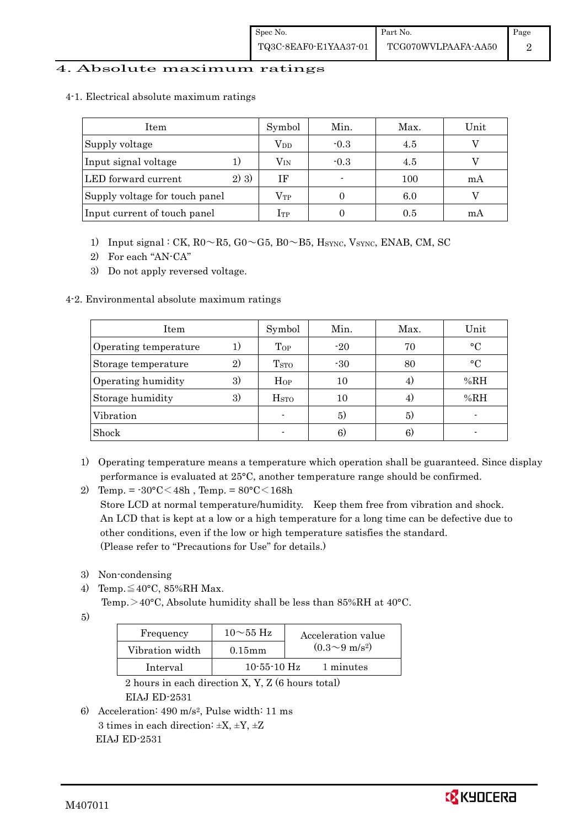#### 4. Absolute maximum ratings

|  |  |  | 4-1. Electrical absolute maximum ratings |  |
|--|--|--|------------------------------------------|--|
|--|--|--|------------------------------------------|--|

| Item                           | Symbol       | Min.   | Max. | Unit |
|--------------------------------|--------------|--------|------|------|
| Supply voltage                 | $\rm V_{DD}$ | $-0.3$ | 4.5  |      |
| Input signal voltage           | $\rm V_{IN}$ | $-0.3$ | 4.5  |      |
| 2) 3)<br>LED forward current   | ΙF           |        | 100  | mA   |
| Supply voltage for touch panel | $\rm V_{TP}$ |        | 6.0  |      |
| Input current of touch panel   | $_{\rm 1TP}$ |        | 0.5  | mA   |

- 1) Input signal : CK,  $R0 \sim R5$ ,  $G0 \sim G5$ ,  $B0 \sim B5$ ,  $H<sub>SYNC</sub>$ ,  $V<sub>SYNC</sub>$ ,  $ENAB$ , CM, SC
- 2) For each "AN-CA"
- 3) Do not apply reversed voltage.

#### 4-2. Environmental absolute maximum ratings

| Item                  |    | Symbol                  | Min.  | Max. | Unit      |
|-----------------------|----|-------------------------|-------|------|-----------|
| Operating temperature | 1. | Top                     | $-20$ | 70   | $\circ$ C |
| Storage temperature   | 2) | T <sub>STO</sub>        | $-30$ | 80   | $\circ$ C |
| Operating humidity    | 3) | Hop                     | 10    |      | %RH       |
| Storage humidity      | 3) | <b>H</b> <sub>sto</sub> | 10    | 4)   | %RH       |
| Vibration             |    |                         | 5)    | 5)   |           |
| Shock                 |    |                         | 6)    | 6)   |           |

- 1) Operating temperature means a temperature which operation shall be guaranteed. Since display performance is evaluated at 25°C, another temperature range should be confirmed.
- 2) Temp. =  $-30^{\circ}$ C $<$ 48h, Temp. =  $80^{\circ}$ C $<$ 168h Store LCD at normal temperature/humidity. Keep them free from vibration and shock. An LCD that is kept at a low or a high temperature for a long time can be defective due to other conditions, even if the low or high temperature satisfies the standard. (Please refer to "Precautions for Use" for details.)
- 3) Non-condensing
- 4) Temp. $\leq 40^{\circ}$ C, 85%RH Max.
	- Temp. >40°C, Absolute humidity shall be less than  $85\%RH$  at  $40^{\circ}C$ .

<sup>5)</sup>

| Frequency       | $10\sim$ 55 Hz    | Acceleration value         |
|-----------------|-------------------|----------------------------|
| Vibration width | $0.15$ mm         | $(0.3{\sim}9~{\rm m/s^2})$ |
| Interval        | $10 - 55 - 10$ Hz | 1 minutes                  |

 2 hours in each direction X, Y, Z (6 hours total) EIAJ ED-2531

6) Acceleration: 490 m/s2, Pulse width: 11 ms 3 times in each direction:  $\pm X$ ,  $\pm Y$ ,  $\pm Z$ EIAJ ED-2531

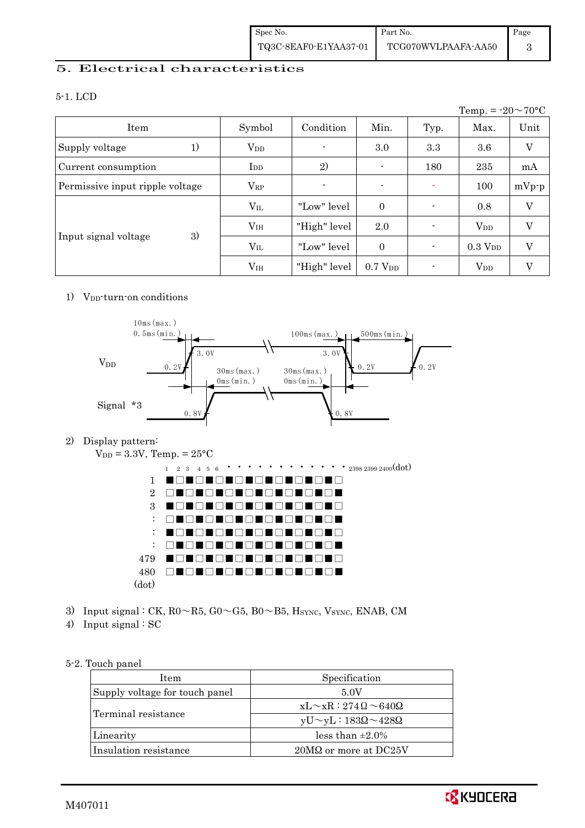#### 5. Electrical characteristics

#### 5-1. LCD

|                                 |                        |                          |                     |      | Temp. = $-20 \sim 70$ °C |         |
|---------------------------------|------------------------|--------------------------|---------------------|------|--------------------------|---------|
| Item                            | Symbol                 | Condition                | Min.                | Typ. | Max.                     | Unit    |
| 1)<br>Supply voltage            | <b>V</b> <sub>DD</sub> | $\overline{\phantom{a}}$ | 3.0                 | 3.3  | 3.6                      | V       |
| Current consumption             | $\rm{I}_{DD}$          | 2)                       | $\blacksquare$      | 180  | 235                      | mA      |
| Permissive input ripple voltage | $V_{RP}$               |                          | $\blacksquare$      |      | 100                      | $mVp-p$ |
|                                 | $\rm V_{II}$           | "Low" level              | $\theta$            |      | 0.8                      | V       |
|                                 | V <sub>IH</sub>        | "High" level             | 2.0                 |      | <b>V</b> <sub>DD</sub>   | V       |
| 3)<br>Input signal voltage      | $\rm V_{II}$           | "Low" level              | $\Omega$            |      | $0.3$ $V_{\rm DD}$       | V       |
|                                 | V <sub>IH</sub>        | "High" level             | 0.7 V <sub>DD</sub> |      | <b>V</b> <sub>DD</sub>   | V       |

#### 1)  $V_{DD}$ -turn-on conditions



2) Display pattern:



- 3) Input signal : CK,  $R0 \sim R5$ ,  $G0 \sim G5$ ,  $B0 \sim B5$ ,  $H_{\text{SYNC}}$ ,  $V_{\text{SYNC}}$ , ENAB, CM
- 4) Input signal : SC

#### 5-2. Touch panel

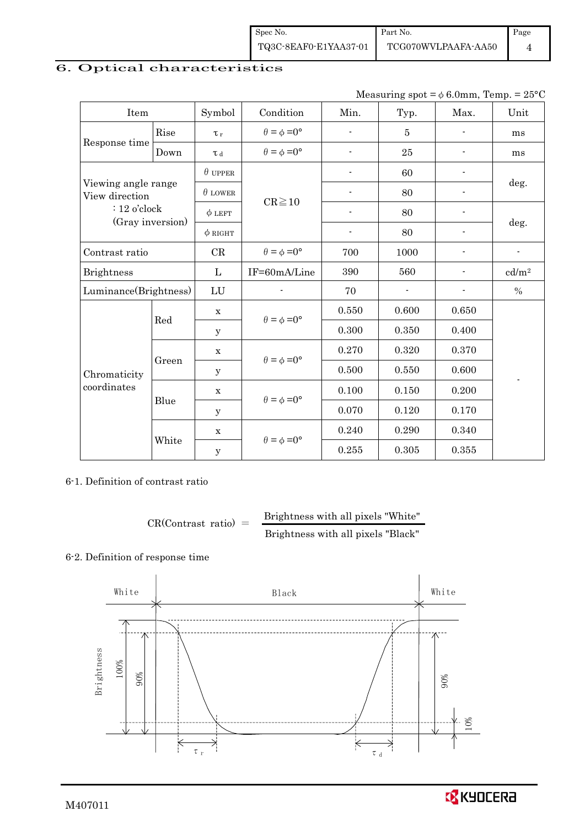| Spec No.              | Part No.            | Page |
|-----------------------|---------------------|------|
| TQ3C-8EAF0-E1YAA37-01 | TCG070WVLPAAFA-AA50 |      |

## 6. Optical characteristics

Measuring spot =  $\phi$  6.0mm, Temp. = 25°C

| Item                                  |       | Symbol              | Condition                   | Min.                     | Typ.                     | Max.                     | Unit              |  |
|---------------------------------------|-------|---------------------|-----------------------------|--------------------------|--------------------------|--------------------------|-------------------|--|
|                                       | Rise  | $\tau_r$            | $\theta = \phi = 0^{\circ}$ | $\overline{\phantom{0}}$ | $\overline{5}$           | $\overline{\phantom{a}}$ | ms                |  |
| Response time                         | Down  | $\tau$ <sub>d</sub> | $\theta = \phi = 0^{\circ}$ | $\overline{\phantom{a}}$ | 25                       | $\overline{\phantom{a}}$ | ms                |  |
|                                       |       | $\theta$ upper      |                             | $\overline{\phantom{0}}$ | 60                       | $\overline{\phantom{a}}$ |                   |  |
| Viewing angle range<br>View direction |       | $\theta$ LOWER      |                             |                          | 80                       |                          | deg.              |  |
| $: 12$ o'clock<br>(Gray inversion)    |       | $\phi$ LEFT         | $CR \ge 10$                 |                          | 80                       |                          |                   |  |
|                                       |       | $\phi$ RIGHT        |                             |                          | 80                       |                          | deg.              |  |
| Contrast ratio                        |       | CR                  | $\theta = \phi = 0^{\circ}$ | 700                      | 1000                     |                          |                   |  |
| <b>Brightness</b>                     |       | $\mathbf{L}$        | IF=60mA/Line                | 390                      | 560                      |                          | cd/m <sup>2</sup> |  |
| Luminance(Brightness)                 |       | LU                  |                             | 70                       | $\overline{\phantom{0}}$ |                          | $\%$              |  |
|                                       | Red   | $\mathbf x$         | $\theta = \phi = 0^{\circ}$ | 0.550                    | 0.600                    | 0.650                    |                   |  |
|                                       |       | У                   |                             | 0.300                    | 0.350                    | 0.400                    |                   |  |
|                                       |       | $\mathbf x$         | $\theta = \phi = 0^{\circ}$ | 0.270                    | 0.320                    | 0.370                    |                   |  |
| Chromaticity<br>coordinates           | Green | У                   |                             | 0.500                    | 0.550                    | 0.600                    |                   |  |
|                                       | Blue  | $\mathbf X$         | $\theta = \phi = 0^{\circ}$ | 0.100                    | 0.150                    | 0.200                    |                   |  |
|                                       |       | y                   |                             | 0.070                    | 0.120                    | 0.170                    |                   |  |
|                                       |       | $\mathbf x$         |                             | 0.240                    | 0.290                    | 0.340                    |                   |  |
|                                       | White | $\mathbf y$         | $\theta = \phi = 0^{\circ}$ | 0.255                    | 0.305                    | 0.355                    |                   |  |

6-1. Definition of contrast ratio

$$
CR(Contrast ratio) = \frac{Brightness with all pixels "White" }{Brightness with all pixels "Black" }
$$

#### 6-2. Definition of response time

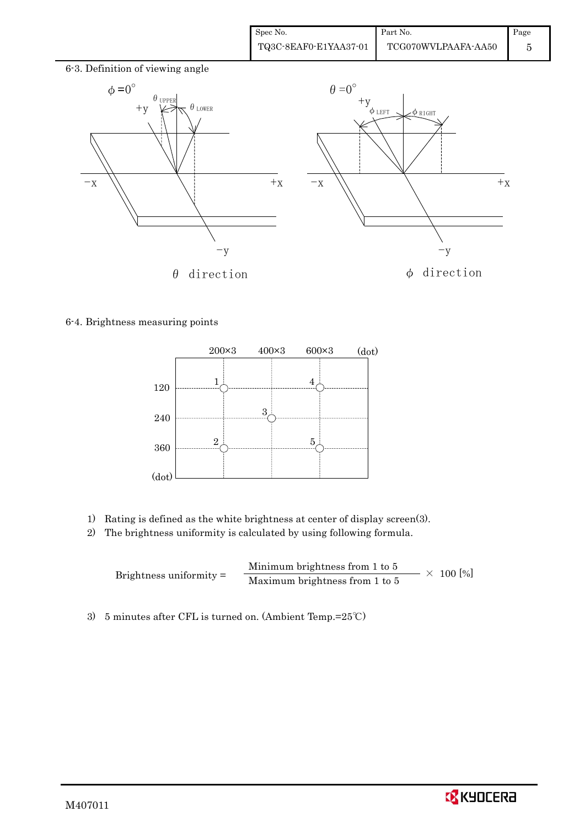| Spec No.              | Part No.            | Page |
|-----------------------|---------------------|------|
| TQ3C-8EAF0-E1YAA37-01 | TCG070WVLPAAFA-AA50 |      |



6-4. Brightness measuring points



- 1) Rating is defined as the white brightness at center of display screen(3).
- 2) The brightness uniformity is calculated by using following formula.

Brightness uniformity = Minimum brightness from 1 to 5  $\times$  100 [%]<br>Maximum brightness from 1 to 5

3) 5 minutes after CFL is turned on. (Ambient Temp.=25℃)

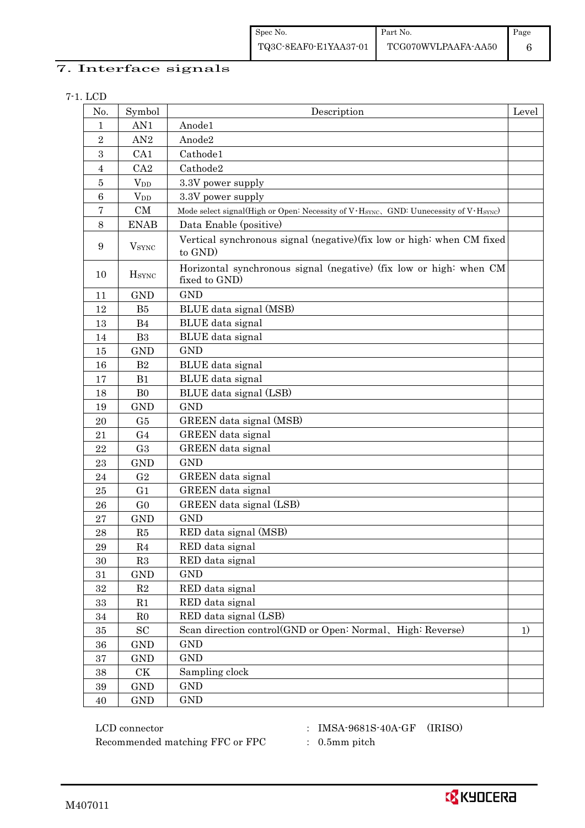| Spec No.              | <b>Part No.</b>     | Page |
|-----------------------|---------------------|------|
| TQ3C-8EAF0-E1YAA37-01 | TCG070WVLPAAFA-AA50 |      |

### 7. Interface signals

|  | ۰, |
|--|----|
|--|----|

| No.            | Symbol                   | Description                                                                                                   | Level |
|----------------|--------------------------|---------------------------------------------------------------------------------------------------------------|-------|
| 1              | AN1                      | Anode1                                                                                                        |       |
| $\sqrt{2}$     | AN2                      | Anode2                                                                                                        |       |
| 3              | CA1                      | Cathode1                                                                                                      |       |
| $\overline{4}$ | CA2                      | Cathode2                                                                                                      |       |
| $\overline{5}$ | $V_{DD}$                 | 3.3V power supply                                                                                             |       |
| $\,6\,$        | <b>V</b> <sub>DD</sub>   | 3.3V power supply                                                                                             |       |
| 7              | CM                       | Mode select signal(High or Open: Necessity of V·H <sub>SYNC</sub> , GND: Uunecessity of V·H <sub>SYNC</sub> ) |       |
| 8              | <b>ENAB</b>              | Data Enable (positive)                                                                                        |       |
| 9              | <b>V</b> <sub>SYNC</sub> | Vertical synchronous signal (negative) (fix low or high: when CM fixed<br>to GND)                             |       |
| 10             | <b>H</b> <sub>SYNC</sub> | Horizontal synchronous signal (negative) (fix low or high: when CM<br>fixed to GND)                           |       |
| 11             | <b>GND</b>               | <b>GND</b>                                                                                                    |       |
| 12             | B5                       | BLUE data signal (MSB)                                                                                        |       |
| 13             | B <sub>4</sub>           | BLUE data signal                                                                                              |       |
| 14             | B <sub>3</sub>           | BLUE data signal                                                                                              |       |
| 15             | $\mathop{\rm GND}$       | <b>GND</b>                                                                                                    |       |
| 16             | B2                       | BLUE data signal                                                                                              |       |
| 17             | B1                       | BLUE data signal                                                                                              |       |
| 18             | B <sub>0</sub>           | BLUE data signal (LSB)                                                                                        |       |
| 19             | <b>GND</b>               | <b>GND</b>                                                                                                    |       |
| 20             | G <sub>5</sub>           | GREEN data signal (MSB)                                                                                       |       |
| 21             | G <sub>4</sub>           | GREEN data signal                                                                                             |       |
| 22             | G <sub>3</sub>           | GREEN data signal                                                                                             |       |
| 23             | <b>GND</b>               | <b>GND</b>                                                                                                    |       |
| 24             | G <sub>2</sub>           | GREEN data signal                                                                                             |       |
| $25\,$         | G1                       | GREEN data signal                                                                                             |       |
| 26             | G <sub>0</sub>           | GREEN data signal (LSB)                                                                                       |       |
| 27             | <b>GND</b>               | <b>GND</b>                                                                                                    |       |
| 28             | R5                       | RED data signal (MSB)                                                                                         |       |
| 29             | R4                       | RED data signal                                                                                               |       |
| 30             | R3                       | RED data signal                                                                                               |       |
| 31             | <b>GND</b>               | <b>GND</b>                                                                                                    |       |
| $32\,$         | $\mathbf{R}2$            | RED data signal                                                                                               |       |
| $33\,$         | R1                       | RED data signal                                                                                               |       |
| $34\,$         | R <sub>0</sub>           | RED data signal (LSB)                                                                                         |       |
| $35\,$         | SC                       | Scan direction control(GND or Open: Normal, High: Reverse)                                                    | 1)    |
| 36             | <b>GND</b>               | <b>GND</b>                                                                                                    |       |
| $37\,$         | <b>GND</b>               | <b>GND</b>                                                                                                    |       |
| $38\,$         | CK                       | Sampling clock                                                                                                |       |
| $39\,$         | <b>GND</b>               | $\mathop{\rm GND}$                                                                                            |       |
| 40             | <b>GND</b>               | <b>GND</b>                                                                                                    |       |

 LCD connector : IMSA-9681S-40A-GF (IRISO) Recommended matching FFC or FPC : 0.5mm pitch

- 
- 

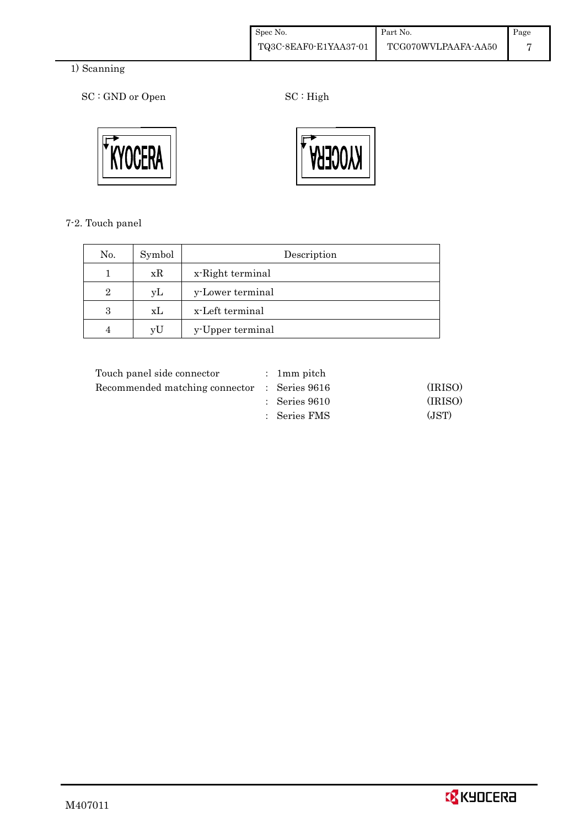| Spec No.              | Part No.            | Page |
|-----------------------|---------------------|------|
| TQ3C-8EAF0-E1YAA37-01 | TCG070WVLPAAFA-AA50 |      |

### 1) Scanning

SC : GND or Open SC : High





7-2. Touch panel

| No.            | Symbol | Description      |
|----------------|--------|------------------|
|                | xR     | x-Right terminal |
| $\overline{2}$ | уL     | y-Lower terminal |
| 3              | xL     | x-Left terminal  |
|                | yU     | y-Upper terminal |

| Touch panel side connector                   | : 1 mm pitch             |         |
|----------------------------------------------|--------------------------|---------|
| Recommended matching connector : Series 9616 |                          | (IRISO) |
|                                              | $\therefore$ Series 9610 | (IRISO) |
|                                              | : Series FMS             | (JST)   |
|                                              |                          |         |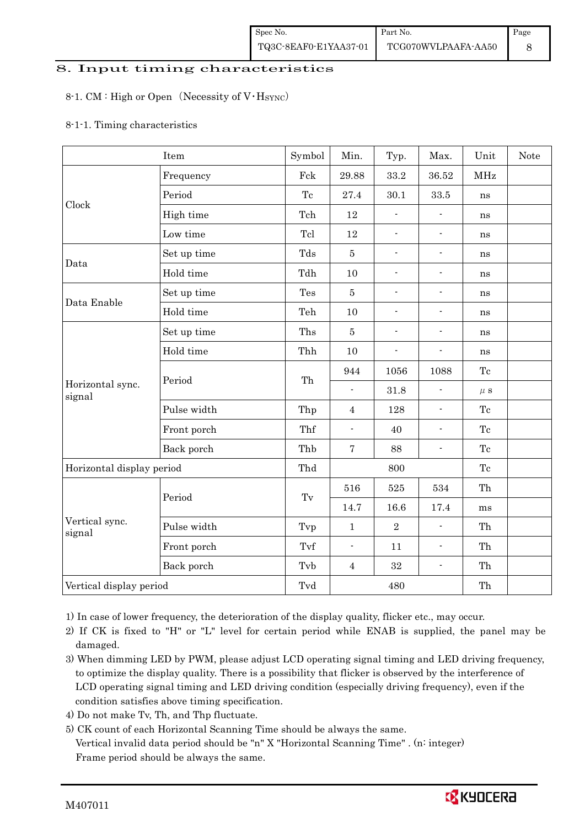#### 8. Input timing characteristics

#### 8-1. CM : High or Open (Necessity of  $V·H<sub>SYNC</sub>$ )

#### 8-1-1. Timing characteristics

|                            | Item        | Symbol              | Min.                     | Typ.                     | Max.                     | Unit       | <b>Note</b> |
|----------------------------|-------------|---------------------|--------------------------|--------------------------|--------------------------|------------|-------------|
|                            | Frequency   | Fck                 | 29.88                    | 33.2                     | $36.52\,$                | <b>MHz</b> |             |
|                            | Period      | Tc                  | 27.4                     | 30.1                     | 33.5                     | ns         |             |
| Clock                      | High time   | Tch                 | 12                       | $\overline{\phantom{a}}$ | $\frac{1}{2}$            | ns         |             |
|                            | Low time    | Tcl                 | 12                       | $\blacksquare$           | $\blacksquare$           | ns         |             |
|                            | Set up time | Tds                 | $\bf 5$                  | $\blacksquare$           | $\overline{\phantom{a}}$ | ns         |             |
| Data                       | Hold time   | Tdh                 | 10                       | $\blacksquare$           | $\overline{\phantom{a}}$ | ns         |             |
|                            | Set up time | Tes                 | $\overline{5}$           | $\overline{\phantom{a}}$ | $\overline{\phantom{a}}$ | ns         |             |
| Data Enable                | Hold time   | Teh                 | 10                       | $\blacksquare$           | $\blacksquare$           | ns         |             |
|                            | Set up time | Ths                 | $\bf 5$                  | $\overline{\phantom{0}}$ | $\overline{\phantom{a}}$ | ns         |             |
|                            | Hold time   | Thh                 | 10                       | $\blacksquare$           | $\blacksquare$           | ns         |             |
|                            |             | Th                  | 944                      | 1056                     | 1088                     | Tc         |             |
| Horizontal sync.<br>signal | Period      |                     | $\overline{\phantom{a}}$ | 31.8                     | $\overline{a}$           | $\mu$ s    |             |
|                            | Pulse width | Thp                 | $\overline{4}$           | 128                      | $\blacksquare$           | Tc         |             |
|                            | Front porch | Thf                 | $\overline{\phantom{a}}$ | 40                       | $\blacksquare$           | Tc         |             |
|                            | Back porch  | Thb                 | $\overline{7}$           | 88                       | $\blacksquare$           | Tc         |             |
| Horizontal display period  |             | Thd                 | 800                      |                          |                          | Tc         |             |
|                            |             |                     | 516                      | 525                      | 534                      | Th         |             |
|                            | Period      | $\operatorname{Tv}$ | 14.7                     | 16.6                     | 17.4                     | ms         |             |
| Vertical sync.<br>signal   | Pulse width | Tvp                 | $\mathbf{1}$             | $\overline{2}$           | $\blacksquare$           | Th         |             |
|                            | Front porch | Tvf                 | $\blacksquare$           | 11                       | $\overline{\phantom{a}}$ | Th         |             |
|                            | Back porch  | Tvb                 | $\overline{4}$           | $32\,$                   | $\overline{\phantom{a}}$ | Th         |             |
| Vertical display period    |             | Tvd                 |                          | 480                      |                          | Th         |             |

1) In case of lower frequency, the deterioration of the display quality, flicker etc., may occur.

 2) If CK is fixed to "H" or "L" level for certain period while ENAB is supplied, the panel may be damaged.

3) When dimming LED by PWM, please adjust LCD operating signal timing and LED driving frequency, to optimize the display quality. There is a possibility that flicker is observed by the interference of LCD operating signal timing and LED driving condition (especially driving frequency), even if the condition satisfies above timing specification.

- 4) Do not make Tv, Th, and Thp fluctuate.
- 5) CK count of each Horizontal Scanning Time should be always the same. Vertical invalid data period should be "n" X "Horizontal Scanning Time" . (n: integer) Frame period should be always the same.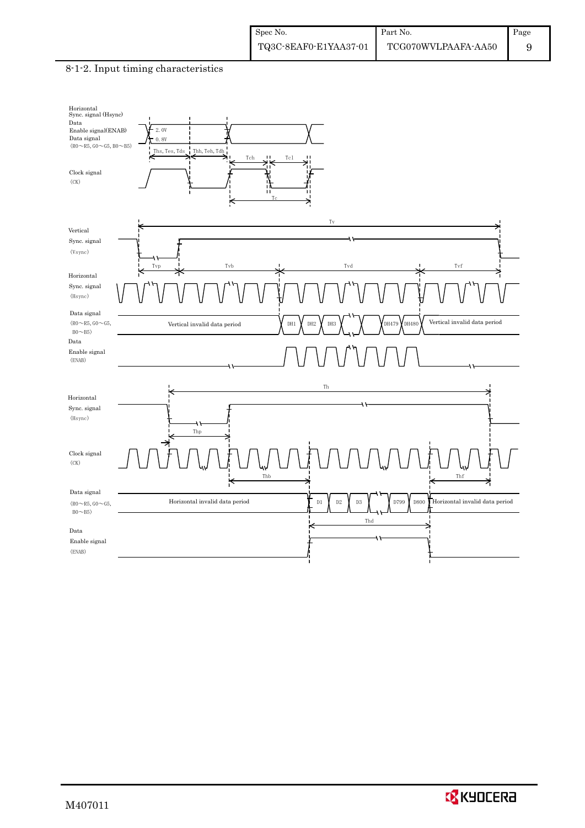#### 8-1-2. Input timing characteristics



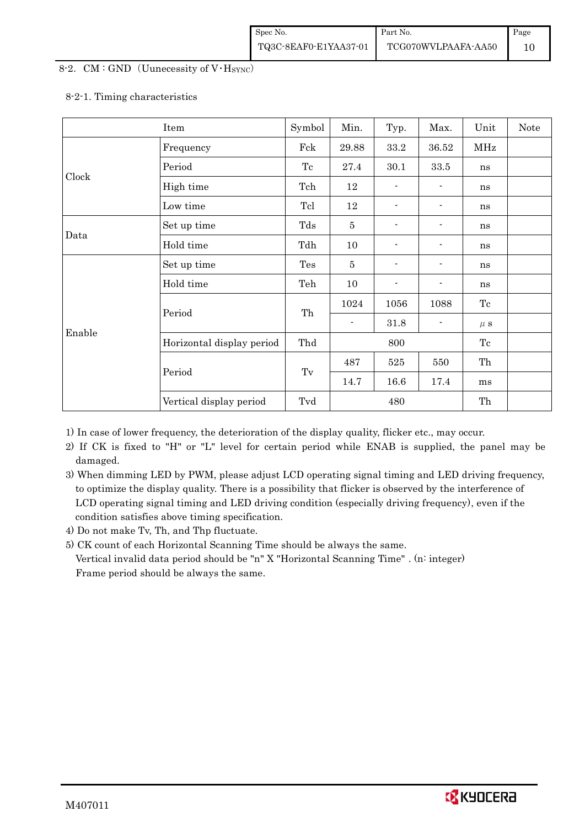#### 8-2. CM : GND (Uunecessity of  $V$  Hsync)

#### 8-2-1. Timing characteristics

|        | Item                      | Symbol | Min.           | Typ.           | Max.                         | Unit    | Note |
|--------|---------------------------|--------|----------------|----------------|------------------------------|---------|------|
|        | Frequency                 | Fck    | 29.88          | 33.2           | 36.52                        | MHz     |      |
|        | Period                    | Tc     | 27.4           | 30.1           | $33.5\,$                     | ns      |      |
| Clock  | High time                 | Tch    | 12             |                |                              | ns      |      |
|        | Low time                  | Tcl    | 12             | $\blacksquare$ |                              | ns      |      |
|        | Set up time               | Tds    | $\bf 5$        | -              |                              | ns      |      |
| Data   | Hold time                 | Tdh    | 10             | ۰.             |                              | ns      |      |
|        | Set up time               | Tes    | $\bf 5$        | -              |                              | ns      |      |
|        | Hold time                 | Teh    | 10             | $\blacksquare$ |                              | ns      |      |
|        | Period                    | Th     | 1024           | 1056           | 1088                         | Tc      |      |
| Enable |                           |        | $\blacksquare$ | 31.8           | $\qquad \qquad \blacksquare$ | $\mu$ s |      |
|        | Horizontal display period | Thd    | 800            |                |                              | Tc      |      |
|        |                           |        | 487            | 525            | 550                          | Th      |      |
|        | Period                    | Tv     | 14.7           | 16.6           | 17.4                         | ms      |      |
|        | Vertical display period   | Tvd    |                | 480            |                              | Th      |      |

1) In case of lower frequency, the deterioration of the display quality, flicker etc., may occur.

 2) If CK is fixed to "H" or "L" level for certain period while ENAB is supplied, the panel may be damaged.

3) When dimming LED by PWM, please adjust LCD operating signal timing and LED driving frequency, to optimize the display quality. There is a possibility that flicker is observed by the interference of LCD operating signal timing and LED driving condition (especially driving frequency), even if the condition satisfies above timing specification.

4) Do not make Tv, Th, and Thp fluctuate.

5) CK count of each Horizontal Scanning Time should be always the same.

 Vertical invalid data period should be "n" X "Horizontal Scanning Time" . (n: integer) Frame period should be always the same.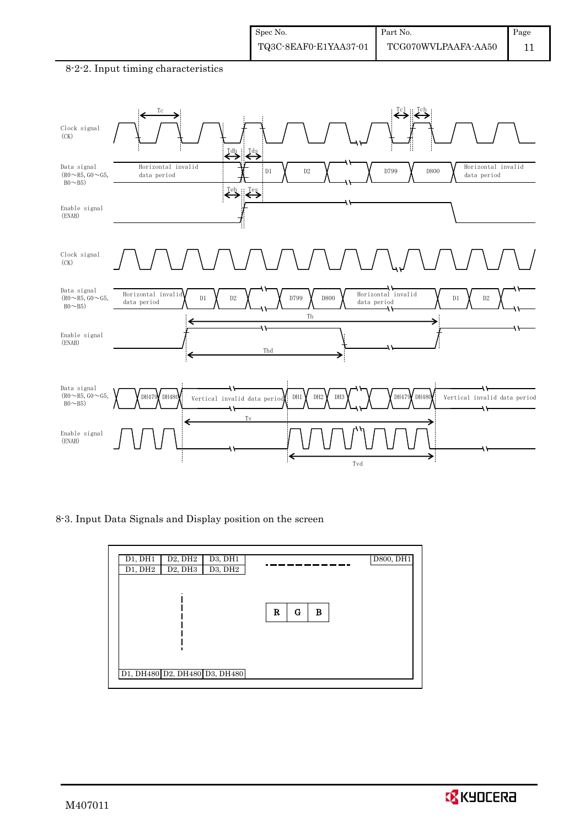



8-3. Input Data Signals and Display position on the screen

| D <sub>2</sub> , DH <sub>2</sub><br>D1, DH1<br>D3, DH1<br>$\overline{D}3, DH2$<br>D2, DH3<br>D1, DH2 | D800, DH1   |
|------------------------------------------------------------------------------------------------------|-------------|
|                                                                                                      |             |
|                                                                                                      | R<br>G<br>в |
|                                                                                                      |             |
| D1, DH480 D2, DH480 D3, DH480                                                                        |             |

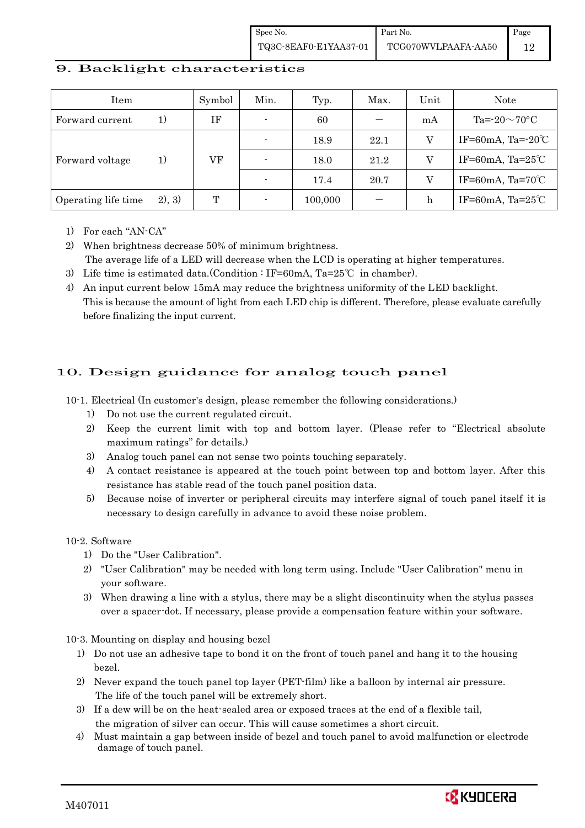Spec No. TQ3C-8EAF0-E1YAA37-01 Part No. TCG070WVLPAAFA-AA50 Page 12

#### 9. Backlight characteristics

| Item                |        | Symbol | Min.                     | Typ.    | Max. | Unit | Note                         |
|---------------------|--------|--------|--------------------------|---------|------|------|------------------------------|
| Forward current     | 1)     | ΙF     | $\blacksquare$           | 60      |      | mA   | Ta= $-20\sim70$ °C           |
|                     |        |        | $\overline{\phantom{a}}$ | 18.9    | 22.1 | V    | IF=60mA, Ta= $-20^{\circ}$ C |
| Forward voltage     | 1)     | VF     | $\overline{\phantom{a}}$ | 18.0    | 21.2 | V    | IF=60mA, Ta= $25^{\circ}$ C  |
|                     |        |        |                          | 17.4    | 20.7 | V    | IF=60mA, Ta=70 $\degree$ C   |
| Operating life time | 2), 3) | T      |                          | 100,000 |      | h    | IF=60mA, Ta= $25^{\circ}$ C  |

1) For each "AN-CA"

2) When brightness decrease 50% of minimum brightness.

The average life of a LED will decrease when the LCD is operating at higher temperatures.

- 3) Life time is estimated data.(Condition : IF=60mA, Ta=25°C in chamber).
- 4) An input current below 15mA may reduce the brightness uniformity of the LED backlight. This is because the amount of light from each LED chip is different. Therefore, please evaluate carefully before finalizing the input current.

### 10. Design guidance for analog touch panel

10-1. Electrical (In customer's design, please remember the following considerations.)

- 1) Do not use the current regulated circuit.
- 2) Keep the current limit with top and bottom layer. (Please refer to "Electrical absolute maximum ratings" for details.)
- 3) Analog touch panel can not sense two points touching separately.
- 4) A contact resistance is appeared at the touch point between top and bottom layer. After this resistance has stable read of the touch panel position data.
- 5) Because noise of inverter or peripheral circuits may interfere signal of touch panel itself it is necessary to design carefully in advance to avoid these noise problem.

10-2. Software

- 1) Do the "User Calibration".
- 2) "User Calibration" may be needed with long term using. Include "User Calibration" menu in your software.
- 3) When drawing a line with a stylus, there may be a slight discontinuity when the stylus passes over a spacer-dot. If necessary, please provide a compensation feature within your software.

10-3. Mounting on display and housing bezel

- 1) Do not use an adhesive tape to bond it on the front of touch panel and hang it to the housing bezel.
- 2) Never expand the touch panel top layer (PET-film) like a balloon by internal air pressure. The life of the touch panel will be extremely short.
- 3) If a dew will be on the heat-sealed area or exposed traces at the end of a flexible tail, the migration of silver can occur. This will cause sometimes a short circuit.
- 4) Must maintain a gap between inside of bezel and touch panel to avoid malfunction or electrode damage of touch panel.

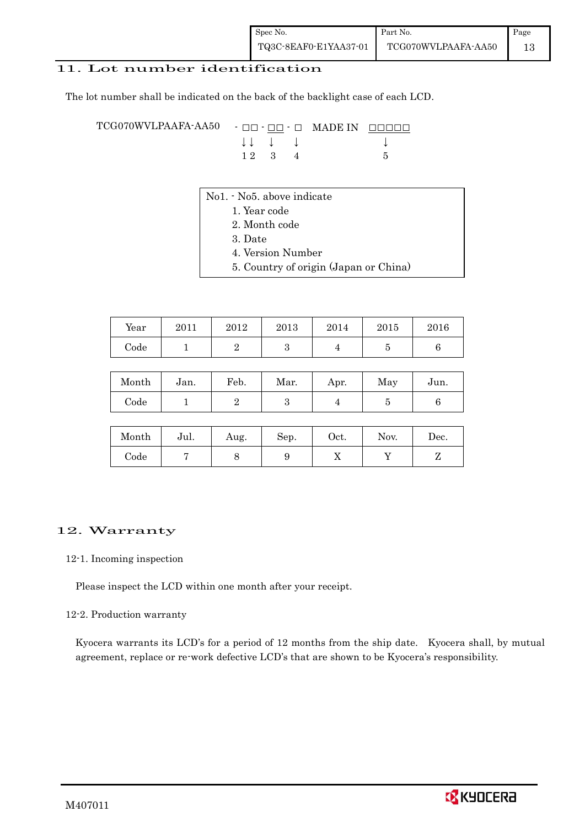#### 11. Lot number identification

The lot number shall be indicated on the back of the backlight case of each LCD.

TCG070WVLPAAFA-AA50 - □□ - □□ - □ MADE IN □□□□□ ↓ ↓ ↓ ↓ ↓  $1\ 2\quad 3\quad 4$  5

- No1. No5. above indicate
	- 1. Year code
		- 2. Month code
		- 3. Date
		- 4. Version Number
		- 5. Country of origin (Japan or China)

| Year | 2011 | 2012 | 2013 | 2014 | 2015 | 2016 |
|------|------|------|------|------|------|------|
| Code |      |      |      |      |      |      |

| Month      | Jan. | Feb. | Mar. | Apr. | May | Jun. |
|------------|------|------|------|------|-----|------|
| $\rm Code$ |      |      |      |      |     |      |

| Month | Jul. | Aug. | Sep. | Oct. | Nov. | Dec. |
|-------|------|------|------|------|------|------|
| Code  |      |      |      | ∡⊾   |      |      |

#### 12. Warranty

#### 12-1. Incoming inspection

Please inspect the LCD within one month after your receipt.

#### 12-2. Production warranty

 Kyocera warrants its LCD's for a period of 12 months from the ship date. Kyocera shall, by mutual agreement, replace or re-work defective LCD's that are shown to be Kyocera's responsibility.

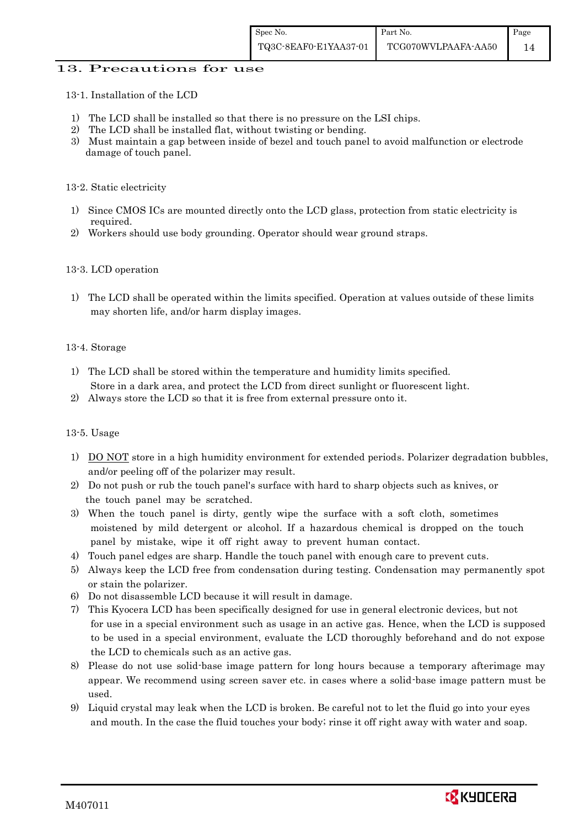#### 13. Precautions for use

13-1. Installation of the LCD

- 1) The LCD shall be installed so that there is no pressure on the LSI chips.
- 2) The LCD shall be installed flat, without twisting or bending.
- 3) Must maintain a gap between inside of bezel and touch panel to avoid malfunction or electrode damage of touch panel.

#### 13-2. Static electricity

- 1) Since CMOS ICs are mounted directly onto the LCD glass, protection from static electricity is required.
- 2) Workers should use body grounding. Operator should wear ground straps.

#### 13-3. LCD operation

1) The LCD shall be operated within the limits specified. Operation at values outside of these limits may shorten life, and/or harm display images.

#### 13-4. Storage

- 1) The LCD shall be stored within the temperature and humidity limits specified. Store in a dark area, and protect the LCD from direct sunlight or fluorescent light.
- 2) Always store the LCD so that it is free from external pressure onto it.

#### 13-5. Usage

- 1) DO NOT store in a high humidity environment for extended periods. Polarizer degradation bubbles, and/or peeling off of the polarizer may result.
- 2) Do not push or rub the touch panel's surface with hard to sharp objects such as knives, or the touch panel may be scratched.
- 3) When the touch panel is dirty, gently wipe the surface with a soft cloth, sometimes moistened by mild detergent or alcohol. If a hazardous chemical is dropped on the touch panel by mistake, wipe it off right away to prevent human contact.
- 4) Touch panel edges are sharp. Handle the touch panel with enough care to prevent cuts.
- 5) Always keep the LCD free from condensation during testing. Condensation may permanently spot or stain the polarizer.
- 6) Do not disassemble LCD because it will result in damage.
- 7) This Kyocera LCD has been specifically designed for use in general electronic devices, but not for use in a special environment such as usage in an active gas. Hence, when the LCD is supposed to be used in a special environment, evaluate the LCD thoroughly beforehand and do not expose the LCD to chemicals such as an active gas.
- 8) Please do not use solid-base image pattern for long hours because a temporary afterimage may appear. We recommend using screen saver etc. in cases where a solid-base image pattern must be used.
- 9) Liquid crystal may leak when the LCD is broken. Be careful not to let the fluid go into your eyes and mouth. In the case the fluid touches your body; rinse it off right away with water and soap.

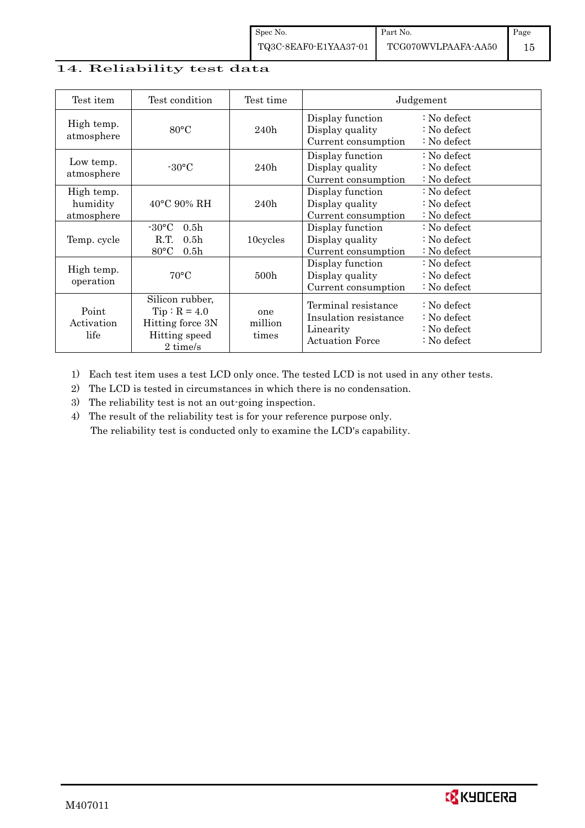### 14. Reliability test data

| Test item                            | Test condition                                                                                       | Test time               |                                                                                     | Judgement                                                                                 |
|--------------------------------------|------------------------------------------------------------------------------------------------------|-------------------------|-------------------------------------------------------------------------------------|-------------------------------------------------------------------------------------------|
| High temp.<br>atmosphere             | $80^{\circ}$ C                                                                                       | 240h                    | Display function<br>Display quality<br>Current consumption                          | $\therefore$ No defect<br>: No defect<br>: No defect                                      |
| Low temp.<br>atmosphere              | $-30\degree C$                                                                                       | 240h                    | Display function<br>Display quality<br>Current consumption                          | $\therefore$ No defect<br>$\therefore$ No defect<br>: No defect                           |
| High temp.<br>humidity<br>atmosphere | $40^{\circ}$ C 90% RH                                                                                | 240h                    | Display function<br>Display quality<br>Current consumption                          | $\therefore$ No defect<br>$\therefore$ No defect<br>: No defect                           |
| Temp. cycle                          | $-30\degree C$<br>0.5 <sub>h</sub><br>R.T.<br>0.5 <sub>h</sub><br>$80^{\circ}$ C<br>0.5 <sub>h</sub> | 10cycles                | Display function<br>Display quality<br>Current consumption                          | $\therefore$ No defect<br>$\therefore$ No defect<br>: No defect                           |
| High temp.<br>operation              | $70^{\circ}$ C                                                                                       | 500 <sub>h</sub>        | Display function<br>Display quality<br>Current consumption                          | : No defect<br>: No defect<br>$\therefore$ No defect                                      |
| Point<br>Activation<br>life          | Silicon rubber,<br>$Tip: R = 4.0$<br>Hitting force 3N<br>Hitting speed<br>2 time/s                   | one<br>million<br>times | Terminal resistance<br>Insulation resistance<br>Linearity<br><b>Actuation Force</b> | $\therefore$ No defect<br>: No defect<br>$\therefore$ No defect<br>$\therefore$ No defect |

1) Each test item uses a test LCD only once. The tested LCD is not used in any other tests.

2) The LCD is tested in circumstances in which there is no condensation.

3) The reliability test is not an out-going inspection.

4) The result of the reliability test is for your reference purpose only. The reliability test is conducted only to examine the LCD's capability.

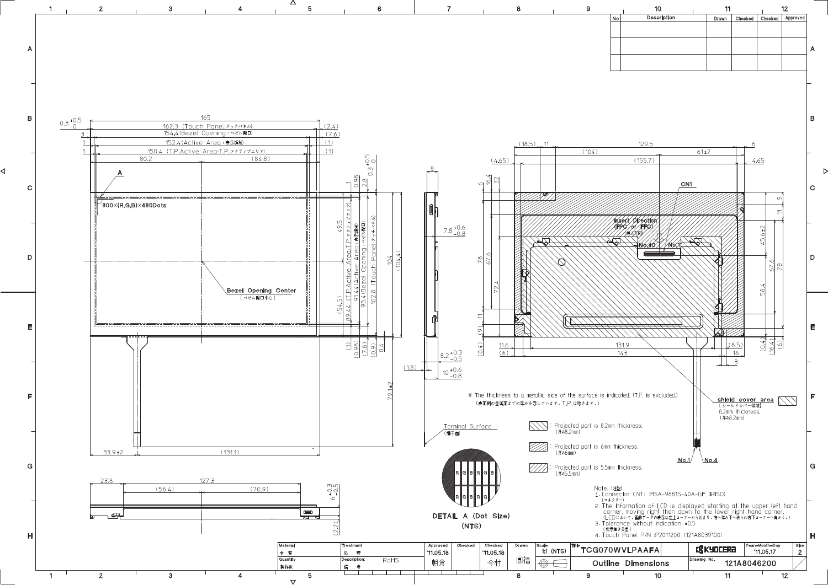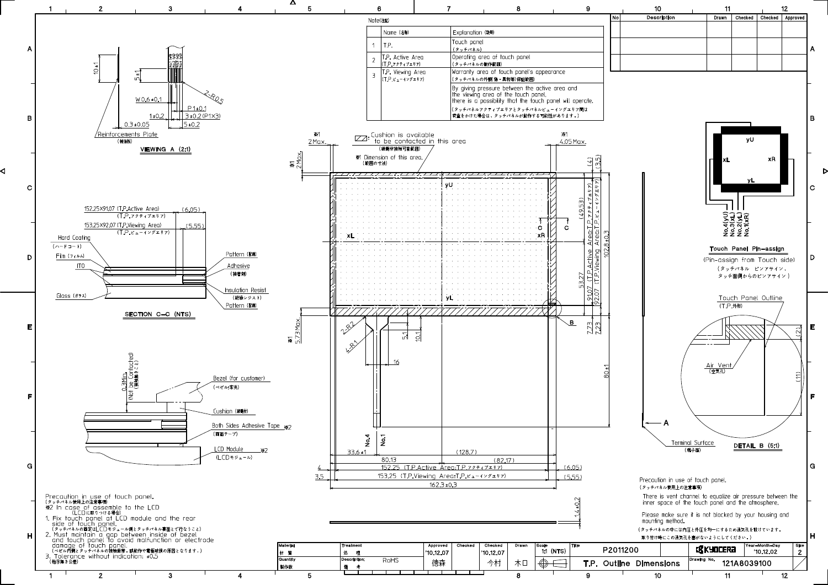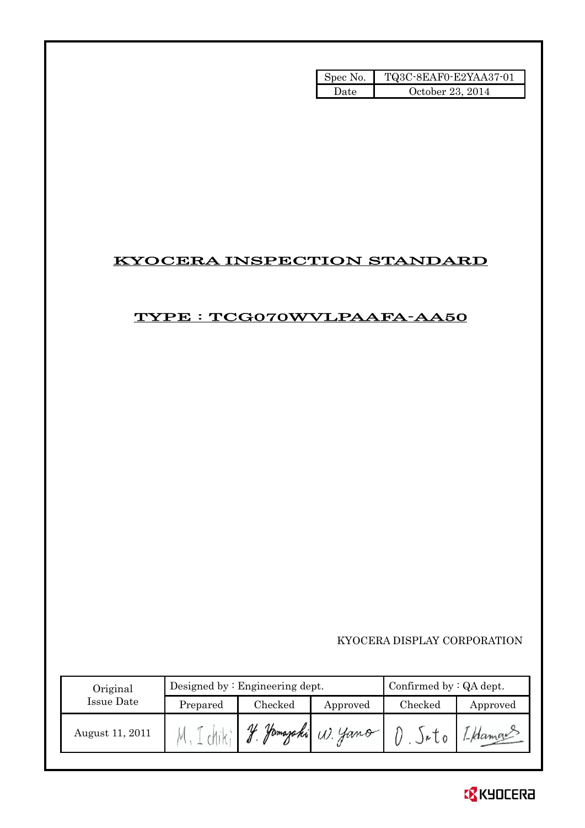| Spec No. | TQ3C-8EAF0-E2YAA37-01 |
|----------|-----------------------|
| Hate     | October 23, 2014      |

## KYOCERA INSPECTION STANDARD

## TYPE : TCG070WVLPAAFA-AA50

KYOCERA DISPLAY CORPORATION

| Original        |          | Designed by $:$ Engineering dept. | Confirmed by $:QA$ dept. |         |          |
|-----------------|----------|-----------------------------------|--------------------------|---------|----------|
| Issue Date      | Prepared | Checked                           | Approved                 | Checked | Approved |
| August 11, 2011 |          | V<br>Hamazaki                     | W. Yamo                  |         |          |

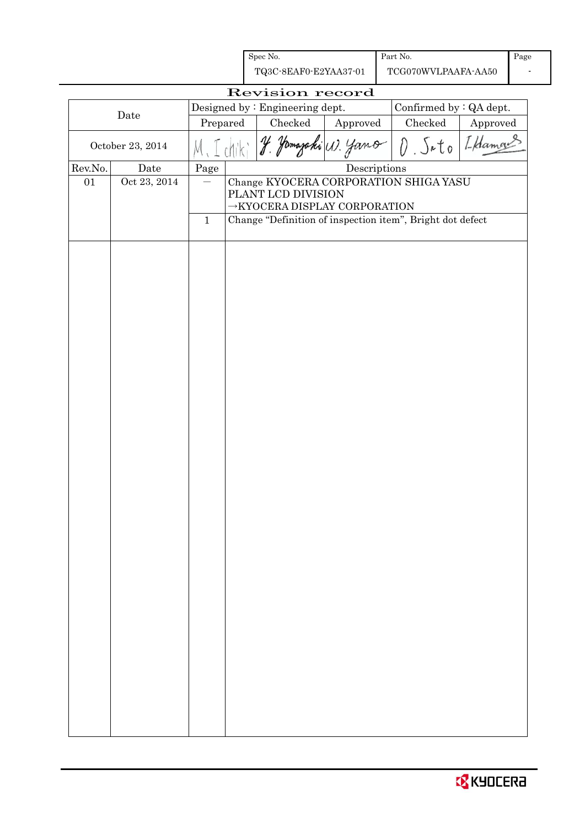| Spec No.<br>Part No.<br>TQ3C-8EAF0-E2YAA37-01<br>TCG070WVLPAAFA-AA50<br>Revision record<br>Designed by: Engineering dept.<br>Confirmed by : QA dept.<br>Date<br>Checked<br>$\rm Checked$<br>Prepared<br>Approved<br>Approved<br>I Hamon<br>$J_{a}$ to<br>yano<br>yamazaki (1).<br>October 23, 2014<br>Descriptions<br>Rev.No.<br>Page<br>Date<br>Oct 23, 2014<br>Change KYOCERA CORPORATION SHIGA YASU<br>01<br>PLANT LCD DIVISION<br>$\rightarrow$ KYOCERA DISPLAY CORPORATION<br>Change "Definition of inspection item", Bright dot defect<br>$\mathbf 1$ |  |  |  |  |  |  |  |  |      |  |
|-------------------------------------------------------------------------------------------------------------------------------------------------------------------------------------------------------------------------------------------------------------------------------------------------------------------------------------------------------------------------------------------------------------------------------------------------------------------------------------------------------------------------------------------------------------|--|--|--|--|--|--|--|--|------|--|
|                                                                                                                                                                                                                                                                                                                                                                                                                                                                                                                                                             |  |  |  |  |  |  |  |  | Page |  |
|                                                                                                                                                                                                                                                                                                                                                                                                                                                                                                                                                             |  |  |  |  |  |  |  |  |      |  |
|                                                                                                                                                                                                                                                                                                                                                                                                                                                                                                                                                             |  |  |  |  |  |  |  |  |      |  |
|                                                                                                                                                                                                                                                                                                                                                                                                                                                                                                                                                             |  |  |  |  |  |  |  |  |      |  |
|                                                                                                                                                                                                                                                                                                                                                                                                                                                                                                                                                             |  |  |  |  |  |  |  |  |      |  |
|                                                                                                                                                                                                                                                                                                                                                                                                                                                                                                                                                             |  |  |  |  |  |  |  |  |      |  |
|                                                                                                                                                                                                                                                                                                                                                                                                                                                                                                                                                             |  |  |  |  |  |  |  |  |      |  |
|                                                                                                                                                                                                                                                                                                                                                                                                                                                                                                                                                             |  |  |  |  |  |  |  |  |      |  |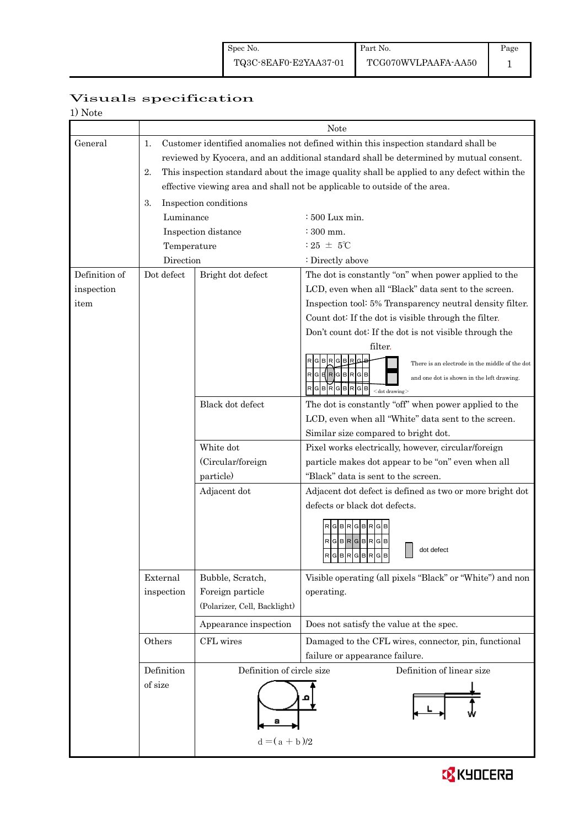# Page

## Visuals specification

|               |             |                              | Note                                                                                                                                                                                                                                                                                                                                                     |  |  |  |  |
|---------------|-------------|------------------------------|----------------------------------------------------------------------------------------------------------------------------------------------------------------------------------------------------------------------------------------------------------------------------------------------------------------------------------------------------------|--|--|--|--|
| General       | 1.<br>2.    |                              | Customer identified anomalies not defined within this inspection standard shall be<br>reviewed by Kyocera, and an additional standard shall be determined by mutual consent.<br>This inspection standard about the image quality shall be applied to any defect within the<br>effective viewing area and shall not be applicable to outside of the area. |  |  |  |  |
|               | 3.          | Inspection conditions        |                                                                                                                                                                                                                                                                                                                                                          |  |  |  |  |
|               | Luminance   |                              | $\div 500$ Lux min.                                                                                                                                                                                                                                                                                                                                      |  |  |  |  |
|               |             | Inspection distance          | $:300$ mm.                                                                                                                                                                                                                                                                                                                                               |  |  |  |  |
|               | Temperature |                              | : 25 $\pm$ 5°C                                                                                                                                                                                                                                                                                                                                           |  |  |  |  |
|               | Direction   |                              | : Directly above                                                                                                                                                                                                                                                                                                                                         |  |  |  |  |
| Definition of | Dot defect  | Bright dot defect            | The dot is constantly "on" when power applied to the                                                                                                                                                                                                                                                                                                     |  |  |  |  |
| inspection    |             |                              | LCD, even when all "Black" data sent to the screen.                                                                                                                                                                                                                                                                                                      |  |  |  |  |
| item          |             |                              | Inspection tool: 5% Transparency neutral density filter.                                                                                                                                                                                                                                                                                                 |  |  |  |  |
|               |             |                              | Count dot: If the dot is visible through the filter.                                                                                                                                                                                                                                                                                                     |  |  |  |  |
|               |             |                              | Don't count dot: If the dot is not visible through the                                                                                                                                                                                                                                                                                                   |  |  |  |  |
|               |             |                              | filter.                                                                                                                                                                                                                                                                                                                                                  |  |  |  |  |
|               |             |                              | <b>GB</b><br>There is an electrode in the middle of the dot                                                                                                                                                                                                                                                                                              |  |  |  |  |
|               |             |                              | $RG = RG$<br>and one dot is shown in the left drawing.                                                                                                                                                                                                                                                                                                   |  |  |  |  |
|               |             |                              | RGBRGBRGB<br>$<$ dot drawing $>$                                                                                                                                                                                                                                                                                                                         |  |  |  |  |
|               |             | Black dot defect             | The dot is constantly "off" when power applied to the                                                                                                                                                                                                                                                                                                    |  |  |  |  |
|               |             |                              | LCD, even when all "White" data sent to the screen.                                                                                                                                                                                                                                                                                                      |  |  |  |  |
|               |             |                              | Similar size compared to bright dot.                                                                                                                                                                                                                                                                                                                     |  |  |  |  |
|               |             | White dot                    | Pixel works electrically, however, circular/foreign                                                                                                                                                                                                                                                                                                      |  |  |  |  |
|               |             | (Circular/foreign            | particle makes dot appear to be "on" even when all                                                                                                                                                                                                                                                                                                       |  |  |  |  |
|               |             | particle)                    | "Black" data is sent to the screen.                                                                                                                                                                                                                                                                                                                      |  |  |  |  |
|               |             | Adjacent dot                 | Adjacent dot defect is defined as two or more bright dot                                                                                                                                                                                                                                                                                                 |  |  |  |  |
|               |             |                              | defects or black dot defects.                                                                                                                                                                                                                                                                                                                            |  |  |  |  |
|               |             |                              | <b>GBR</b><br>G B R<br>$R$ G $B$ R $G$ B $R$ G $B$<br>dot defect<br>RGBRGBRGB                                                                                                                                                                                                                                                                            |  |  |  |  |
|               | External    | Bubble, Scratch,             | Visible operating (all pixels "Black" or "White") and non                                                                                                                                                                                                                                                                                                |  |  |  |  |
|               | inspection  | Foreign particle             | operating.                                                                                                                                                                                                                                                                                                                                               |  |  |  |  |
|               |             | (Polarizer, Cell, Backlight) |                                                                                                                                                                                                                                                                                                                                                          |  |  |  |  |
|               |             | Appearance inspection        | Does not satisfy the value at the spec.                                                                                                                                                                                                                                                                                                                  |  |  |  |  |
|               | Others      | CFL wires                    | Damaged to the CFL wires, connector, pin, functional                                                                                                                                                                                                                                                                                                     |  |  |  |  |
|               |             |                              | failure or appearance failure.                                                                                                                                                                                                                                                                                                                           |  |  |  |  |
|               | Definition  | Definition of circle size    | Definition of linear size                                                                                                                                                                                                                                                                                                                                |  |  |  |  |
|               | of size     | $d = (a + b)/2$              |                                                                                                                                                                                                                                                                                                                                                          |  |  |  |  |

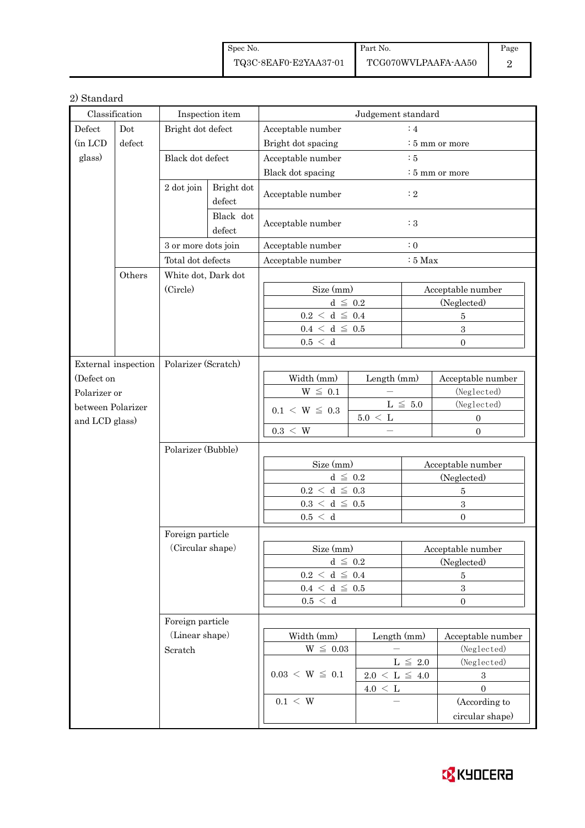| Spec No.              | Part No.            | Page |
|-----------------------|---------------------|------|
| TQ3C-8EAF0-E2YAA37-01 | TCG070WVLPAAFA-AA50 |      |

#### 2) Standard

|                  | Classification      |                     | Inspection item                | Judgement standard                  |                                |                   |                             |  |
|------------------|---------------------|---------------------|--------------------------------|-------------------------------------|--------------------------------|-------------------|-----------------------------|--|
| Defect           | Dot                 | Bright dot defect   |                                | Acceptable number                   |                                |                   |                             |  |
| (in LCD          | defect              |                     |                                | :4<br>Bright dot spacing            |                                |                   | $\frac{1}{2}$ 5 mm or more  |  |
| glass)           |                     | Black dot defect    |                                | Acceptable number<br>$\therefore$ 5 |                                |                   |                             |  |
|                  |                     |                     |                                | Black dot spacing                   |                                |                   | $\frac{1}{2}$ 5 mm or more  |  |
|                  |                     | 2 dot join          | Bright dot                     | Acceptable number                   |                                | $\colon 2$        |                             |  |
|                  |                     |                     | defect                         |                                     |                                |                   |                             |  |
|                  |                     |                     | Black dot<br>defect            | Acceptable number                   |                                | :3                |                             |  |
|                  |                     | 3 or more dots join |                                | Acceptable number                   |                                | $\colon 0$        |                             |  |
|                  |                     | Total dot defects   |                                | Acceptable number                   |                                | $:5$ Max          |                             |  |
|                  | Others              | White dot, Dark dot |                                |                                     |                                |                   |                             |  |
|                  |                     | (Circle)            |                                | Size (mm)                           |                                |                   | Acceptable number           |  |
|                  |                     |                     |                                | $d \leq 0.2$                        |                                |                   | (Neglected)                 |  |
|                  |                     |                     |                                | $0.2~<~\rm d~\leq~0.4$              |                                |                   | $\bf 5$                     |  |
|                  |                     |                     |                                | $0.4~<~\rm d~\leq~0.5$              |                                |                   | $\overline{\mathbf{3}}$     |  |
|                  |                     |                     |                                | 0.5 < d                             |                                |                   | $\Omega$                    |  |
|                  |                     |                     |                                |                                     |                                |                   |                             |  |
|                  | External inspection | Polarizer (Scratch) |                                |                                     |                                |                   |                             |  |
| (Defect on       |                     |                     |                                | Width (mm)                          | Length (mm)                    |                   | Acceptable number           |  |
|                  | Polarizer or        |                     |                                | $W~\leq~0.1$                        |                                |                   | (Neglected)                 |  |
|                  | between Polarizer   |                     |                                | $0.1 \le W \le 0.3$                 | $5.0 \leq L$                   | $L \leq 5.0$      | (Neglected)<br>$\mathbf{0}$ |  |
| and LCD glass)   |                     |                     |                                | $0.3 \, < \, W$                     |                                |                   | $\boldsymbol{0}$            |  |
|                  |                     |                     |                                |                                     |                                |                   |                             |  |
|                  |                     | Polarizer (Bubble)  |                                |                                     |                                |                   |                             |  |
|                  |                     |                     |                                | Size (mm)                           |                                |                   | Acceptable number           |  |
|                  |                     |                     |                                | $d \leq 0.2$                        |                                |                   | (Neglected)                 |  |
|                  |                     |                     |                                | $0.2~<~\rm d~\leq~0.3$              |                                |                   | $\bf 5$                     |  |
|                  |                     |                     |                                | $0.3~<~\rm{d}~\leq~0.5$             |                                | $\overline{3}$    |                             |  |
|                  |                     |                     |                                | 0.5 < d                             |                                |                   | $\overline{0}$              |  |
|                  |                     | Foreign particle    |                                |                                     |                                |                   |                             |  |
|                  |                     | (Circular shape)    |                                | Size (mm)                           |                                | Acceptable number |                             |  |
|                  |                     |                     |                                | $d~\leq~0.2$                        |                                | (Neglected)       |                             |  |
|                  |                     |                     |                                | $0.2~<~\rm d~\leq~0.4$              |                                | 5                 |                             |  |
|                  |                     |                     | $0.4~\leq~\mathrm{d}~\leq~0.5$ |                                     |                                | $\boldsymbol{3}$  |                             |  |
|                  |                     | $0.5\,<\,$ d        |                                |                                     | $\boldsymbol{0}$               |                   |                             |  |
| Foreign particle |                     |                     |                                |                                     |                                |                   |                             |  |
|                  |                     | (Linear shape)      |                                | Width (mm)                          | Length (mm)                    |                   | Acceptable number           |  |
|                  |                     | Scratch             |                                | $\mathrm{W}\ \leq\ 0.03$            |                                |                   | (Neglected)                 |  |
|                  |                     |                     |                                |                                     |                                | $L\,\leq\,$ 2.0   | (Neglected)                 |  |
|                  |                     |                     |                                | $0.03 \le W \le 0.1$                | $2.0~\leq~\mathrm{L}~\leq~4.0$ |                   | $\,3$                       |  |
|                  |                     |                     |                                |                                     | $4.0 \leq L$                   |                   | $\overline{0}$              |  |
|                  |                     |                     |                                | $0.1 \leq W$                        |                                |                   | (According to               |  |
|                  |                     |                     |                                |                                     |                                |                   | circular shape)             |  |